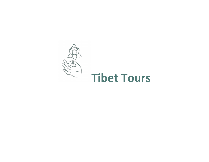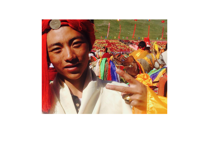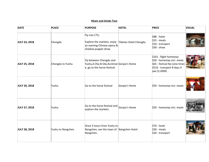## **Kham and Amdo Tour**

| <b>DATE</b>          | <b>PLACE</b>      | <b>PURPOSE</b>                                                                                       | <b>HOTEL</b>          | <b>PRICE</b>                                                                                                                            | <b>VISUAL</b> |
|----------------------|-------------------|------------------------------------------------------------------------------------------------------|-----------------------|-----------------------------------------------------------------------------------------------------------------------------------------|---------------|
| <b>JULY 24, 2018</b> | Chengdu           | Fly into CTU.<br>Explore the markets, enjoy<br>an evening Chinese opera &<br>shadow puppet show.     | Tibetan Hotel Chengdu | $$88 - hotel$<br>$$25$ - meals<br>$$10$ - transport<br>$$30 - show$                                                                     |               |
| <b>JULY 25, 2018</b> | Chengdu to Yushu  | Fly between Chengdu and<br>Yushu, 6:35a-8:10a. Acclimat Gonpo's Home<br>e, go to the horse festival. |                       | $$161$ - flight homestay<br>\$50 - homestay incl. meals<br>\$65 - festival fee (one time)<br>\$516 - transport 8 days 4<br>pax (3,200¥) |               |
| <b>JULY 26, 2018</b> | Yushu             | Go to the horse festival                                                                             | Gonpo's Home          | \$50 - homestay incl. meals                                                                                                             |               |
| <b>JULY 27, 2018</b> | Yushu             | Go to the horse festival and<br>explore the markets.                                                 | Gonpo's Home          | \$50 - homestay incl. meals                                                                                                             |               |
| <b>JULY 28, 2018</b> | Yushu to Nangchen | Drive 3 hours from Yushu to<br>Nangchen, see the town of Nangchen Hotel<br>Nangchen.                 |                       | $$70 - hotel$<br>$$30$ - meals<br>\$20 - transport                                                                                      |               |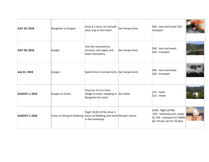| <b>JULY 29, 2018</b>  | Nangchen to Gargon | Drive 2.5 hours to nomadic<br>area, stay in tent hotel.                                                                 | Gar Gonpa tents | $$60$ - tent and meals \$20 -<br>transport                                                                             |  |
|-----------------------|--------------------|-------------------------------------------------------------------------------------------------------------------------|-----------------|------------------------------------------------------------------------------------------------------------------------|--|
| <b>JULY 30, 2018</b>  | Gargon             | Visit the monasteries,<br>nunnery, and upper and<br>lower monastery.                                                    | Gar Gonpa tents | S60 - tent and meals<br>\$20 - transport                                                                               |  |
| July 31, 2018         | Gargon             | Spend time in nomad tents. Gar Gonpa tents                                                                              |                 | \$60 - tent and meals<br>\$20 - transport                                                                              |  |
| <b>AUGUST 1, 2018</b> | Gargon to Yushu    | Drive for 4-5 hrs from<br>village to town, stopping in Gar Hotel<br>Nangchen for lunch.                                 |                 | $$75$ - hotel<br>$$15$ - meals                                                                                         |  |
| <b>AUGUST 2, 2018</b> |                    | Flight 18:30-19:50, drive 3<br>Yushu to Xining to Rebkong hours to Rebkong and settle Sherap's Home<br>in the homestay. |                 | \$108 - flight (670¥)<br>\$50 - homestay incl. meals<br>$ 2,744$ - transport $(17,0004)$<br>per 10 pax van for 10 days |  |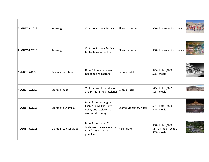| <b>AUGUST 3, 2018</b> | Rebkong                | Visit the Shaman Festival.                                                                       | Sherap's Home         | \$50 - homestay incl. meals                                         |  |
|-----------------------|------------------------|--------------------------------------------------------------------------------------------------|-----------------------|---------------------------------------------------------------------|--|
| <b>AUGUST 4, 2018</b> | Rebkong                | Visit the Shaman Festival.<br>Go to thangka workshops.                                           | Sherap's Home         | \$50 - homestay incl. meals                                         |  |
| <b>AUGUST 5, 2018</b> | Rebkong to Labrang     | Drive 5 hours between<br>Rebkong and Labrang.                                                    | Baoma Hotel           | \$45 - hotel (260¥)<br>$$15$ - meals                                |  |
| <b>AUGUST 6, 2018</b> | Labrang Tseko          | Visit the NorLha workshop<br>and picnic in the grasslands.                                       | Baoma Hotel           | \$45 - hotel (260¥)<br>$$15$ - meals                                |  |
| <b>AUGUST 8, 2018</b> | Labrang to Lhamo Si    | Drive from Labrang to<br>Lhamo Si, walk in Tiger<br>Valley and explore the<br>caves and scenery. | Lhamo Monastery hotel | \$61 - hotel (380¥)<br>$$15$ - meals                                |  |
| <b>AUGUST 9, 2018</b> | Lhamo Si to JiuzhaiGou | Drive from Lhamo Si to<br>Jiuzhaigou, picnic along the<br>way for lunch in the<br>grasslands.    | Jinxin Hotel          | \$58 - hotel (360¥)<br>$ 55 - Lh$ amo Si fee (30¥)<br>$$15$ - meals |  |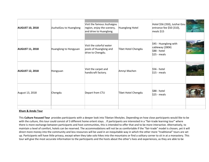| <b>AUGUST 10, 2018</b> | JiuzhaiGou to Huanglong | Visit the famous Jiuzhaigou<br>region, enjoy the scenery,<br>and drive to Huanglong. | Huanglong Hotel     | Hotel \$56 (350), Juizhai Gou<br>entrance fee \$50 (310),<br>meals \$15    |  |
|------------------------|-------------------------|--------------------------------------------------------------------------------------|---------------------|----------------------------------------------------------------------------|--|
| <b>AUGUST 11, 2018</b> | Huanglong to Hongyuan   | Visit the colorful water<br>pools of Huanglong and<br>drive to Chengdu.              | Tibet Hotel Chengdu | $$45$ - Huanglong with<br>cableway (280¥)<br>\$88 - hotel<br>$$25$ - meals |  |
| <b>AUGUST 12, 2018</b> | Hongyuan                | Visit the carpet and<br>handicraft factory.                                          | Amnyi Machen        | $$56 - hotel$<br>$$15$ - meals                                             |  |
| August 13, 2018        | Chengdu                 | Depart from CTU                                                                      | Tibet Hotel Chengdu | $$88$ - hotel<br>$$25$ - meals                                             |  |
|                        |                         |                                                                                      |                     |                                                                            |  |

### **Kham & Amdo Tour**

This **Culture Focused Tour** provides participants with a deeper look into Tibetan lifestyles. Depending on how close participants would like to be with the culture, this tour could consist of 3 different home ortent stays. . If participants are interested in a "fair-trade learning tour" where there is more exchange between participants and host communities, this is intended to offer that and to be more interactive. Alternatively, to maintain a level of comfort, hotels can be reserved. The accommodations will not be as comfortable if the "fair-trade" model is chosen, yet it will direct more money into the community and less resources will be used in an inequitable way in which the other more "traditional" tours are set up. Participants will have little privacy, except when they take solo hikes into the mountains or find a solitary corner to sit in at a monastery. This tour will give the most accurate information to the participants and the hosts about the other's lives and experiences, as they are able to be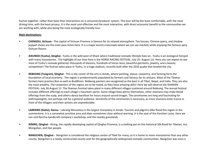human together, rather than base their interactions on a consumer/producer system. This tour will be the least comfortable, with the most driving time, with the least privacy. It is the most cost effective and the most interactive, with direct economic benefit to the communities we are working with, while also being the most ecologically friendly tour.

### **Main destinations:**

- **CHENGDU, Sichuan -** The capital of Sichuan Province is famous for its relaxed atmosphere. Tea houses, Chinese opera, and shadow puppet shows are the main pass-times here. It is a major tourist crossroads where we can see markets while enjoying the famous spicy Sichuan flavors.
- **JEKUNDO (Yushu), Qinghai -** Yushu is the wild west of Kham where traditional nomadic lifestyle lives on. Yushu is an ecological hotspot with many monasteries. The highlight of our time here is the HORSE RACING FESTIVAL: July 25- August 1st. Here you can expect to see most of Yushu's nomads gathered, thousands of dancers, hundreds of horse races, beautiful garments, jewelry, and a beauty competition! The festival takes place in Yushu, in a huge stadium, recently built after the 2010 quake that leveled the city.
- **REBKONG (Tongren), Qinghai** This is the center of the arts in Amdo, where painting, statue, carpentry, and farming form the foundation of local economy. The region is predominantly populated by farmers and famous for its artisans. Most of the Tibetan farmers here practice Bon as well as Buddhism. Rebkong painters are recognized as the best in all Tibet, Nepal, and India. They are also the most wealthy. The carpenters of the region are to be noted, as they have amazing skills! Here we will observe the SHAMAN FESTIVAL: July 30-August 12. The Shaman Festival takes place in many different villages scattered around Rebkong. The annual festival includes different offerings to each village's mountain spirits. Some village boys pierce themselves, other shamans may make blood offerings from the scalp, and others dance barefoot for hours around sacred images. The ceremonies are long and fascinating for anthropologists, but perhaps not for a general audience. Sensitivity of the ceremonies is necessary, as most shamans enter trance in front of the villagers and their actions are unpredictable.
- **LABRANG (Xiahe), Gansu -** Labrang Monastery is the largest monastery in Amdo. Tourists and pilgrims alike flood this region in the summertime. It is a somewhat sensitive area and does sometimes close without warning. It is the seat of the Panchen Lama. Here we can visit NorLha handicraft company's workshop, and the nearby grasslands.
- **XINING, Qinghai -** Xining, the rapidly developing capital of Qinghai Province, is a melting pot on the historical Silk Road for Tibetan, Hui, Mongolian, and Han people.
- **NANGCHEN, Qinghai -** Nangchen is considered the religious center of Tibet for many, as it is home to more monasteries than any other county. Nangchen is a newly constructed county seat for the geographically widespread nomadic communities. Nangchen was once a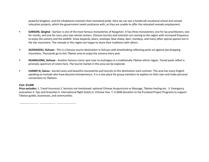powerful kingdom, and the inhabitants maintain their homeland pride. Here we can see a handicraft vocational school and nomad relocation projects, which the government needs assistance with, as they are unable to offer the relocated nomads employment.

- **GARGON, Qinghai -** GarGon is one of the most famous monasteries of Nangchen. It has three monasteries: one for lay practitioners, one for monks, and one for nuns, plus two retreat centers. Chinese tourists and scientists are coming to the region with increased frequency to enjoy the scenery and the wildlife. Snow leopards, bears, antelope, blue sheep, deer, monkeys, and many other special species live in the Gar mountains. The nomads in this region are happy to share their traditions with others.
- **JIUZHAIGOU, Sichuan -** This is a famous tourist destination in Sichuan with breathtaking reflecting pools set against jaw dropping mountains. Thousands go to this Tibetan area to enjoy the scenery every year.
- **HUANGLONG, Sichuan -** Another famous scenic spot near to Jiuzhaigou in a traditionally Tibetan ethnic region. Tiered pools reflect a prismatic spectrum of colors here. The tourist market in this area can be explored.
- **LHAMO SI, Gansu -** Sacred caves and beautiful monasteries pull tourists to this destination each summer. The area has many English speaking ex-nomads who have become entrepreneurs. It is a nice place for group members to explore on their own and make personal connections to Tibetans.

### **Cost: \$3,600**

**Price excludes:** 1. Travel Insurance 2. Services not mentioned: optional Chinese Acupuncture or Massage, Tibetan healing etc. 3. Emergency evacuation 4. Tips and Gratuities 5. International flight tickets 6. Chinese Visa. 7. A \$600 donation to the Pureland Project Programs to support Tibetan guides, businesses, and communities.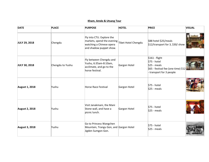# **Kham, Amdo & Utsang Tour**

| <b>DATE</b>           | <b>PLACE</b>     | <b>PURPOSE</b>                                                                                                                             | <b>HOTEL</b> | <b>PRICE</b>                                                                                                         | <b>VISUAL</b> |
|-----------------------|------------------|--------------------------------------------------------------------------------------------------------------------------------------------|--------------|----------------------------------------------------------------------------------------------------------------------|---------------|
| <b>JULY 29, 2018</b>  | Chengdu          | Fly into CTU. Explore the<br>markets, spend the evening $\vert$ Tibet Hotel Chengdu<br>watching a Chinese opera<br>and shadow puppet show. |              | \$88 hotel \$25/meals<br>\$12/transport for 3, \$30/ show                                                            |               |
| <b>JULY 30, 2018</b>  | Chengdu to Yushu | Fly between Chengdu and<br>Yushu, 6:35am-8:10am,<br>acclimate, and go to the<br>horse festival.                                            | Gargon Hotel | $$161 - flight$<br>$$75$ - hotel<br>$$25$ - meals<br>\$65 - festival fee (one time) \$12<br>- transport for 3 people |               |
| <b>August 1, 2018</b> | Yushu            | Horse Race Festival                                                                                                                        | Gargon Hotel | $$75$ - hotel<br>$$25$ - meals                                                                                       |               |
| <b>August 2, 2018</b> | Yushu            | Visit Janakmani, the Mani<br>Stone wall, and have a<br>picnic lunch.                                                                       | Gargon Hotel | \$75 - hotel<br>$$25$ - meals                                                                                        |               |
| <b>August 3, 2018</b> | Yushu            | Go to Princess Wangchen<br>Mountain, Trangu Gon, and Gargon Hotel<br>Jigden Sumgon Gon.                                                    |              | $$75$ - hotel<br>$$25$ - meals                                                                                       |               |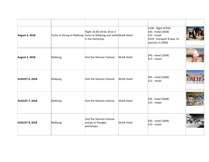| <b>August 4, 2018</b> |         | Flight 18:30-19:50, drive 3<br>Yushu to Xining to Rebkong hours to Rebkong and settle Mutik Hotel<br>in the homestay. |             | \$108 - flight (670¥)<br>\$45 - hotel (260¥)<br>$$15$ - meals<br>\$219 - transport 8 days 10<br>pax/van (1,360¥) |  |
|-----------------------|---------|-----------------------------------------------------------------------------------------------------------------------|-------------|------------------------------------------------------------------------------------------------------------------|--|
| <b>August 5, 2018</b> | Rebkong | Visit the Shaman Festival.                                                                                            | Mutik Hotel | \$45 - hotel (260¥)<br>$$15$ - meals                                                                             |  |
| <b>AUGUST 6, 2018</b> | Rebkong | Visit the Shaman Festival.                                                                                            | Mutik Hotel | \$45 - hotel (260¥)<br>$$15$ - meals                                                                             |  |
| <b>AUGUST 7, 2018</b> | Rebkong | Visit the Shaman Festival.                                                                                            | Mutik Hotel | \$45 - hotel (260¥)<br>$$15$ - meals                                                                             |  |
| <b>AUGUST 8, 2018</b> | Rebkong | Visit the Shaman Festival<br>and go to thangka<br>workshops.                                                          | Mutik Hotel | \$45 - hotel (260¥)<br>$$15$ - meals                                                                             |  |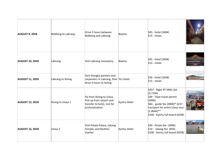| <b>AUGUST 9, 2018</b>  | Rebkong to Labrang | Drive 5 hours between<br>Rebkong and Labrang.                                                            | Boama        | \$45 - hotel (260¥)<br>$$15$ - meals                                                                                                                                                                    |  |
|------------------------|--------------------|----------------------------------------------------------------------------------------------------------|--------------|---------------------------------------------------------------------------------------------------------------------------------------------------------------------------------------------------------|--|
| <b>AUGUST 10, 2018</b> | Labrang            | Visit Labrang monastery.                                                                                 | Boama        | \$45 - hotel (260¥)<br>$$15$ - meals                                                                                                                                                                    |  |
| <b>AUGUST 11, 2018</b> | Labrang to Xining  | Visit thangka painters and<br>carpenters in Labrang, then YiLi Hotel<br>drive 4 hours to Xining.         |              | \$56 - hotel (350¥)<br>$$15$ - meals                                                                                                                                                                    |  |
| <b>AUGUST 12, 2018</b> | Xining to Lhasa 1  | Fly from Xining to Lhasa.<br>Pick up from airport and<br>transfer to hotel, rest for<br>acclimatization. | Kyichu Hotel | \$437 - flight RT XNN-LXA<br>(2,7104)<br>\$49 - Tibet travel permit<br>(300)<br>\$64 - guide fee (400¥)* \$237 ·<br>transport for entire Lhasa tour<br>$(1,464)$ **<br>\$100 - Kyichu full board (620¥) |  |
| <b>AUGUST 13, 2018</b> | Lhasa 2            | Visit Potala Palace, Jokang<br>Temple, and Barkhor<br>market.                                            | Kyichu Hotel | $$49$ - Potala fee $(300*)$<br>$$14 - Jokang fee (854)$<br>\$100 - Kyichu full board (620¥)                                                                                                             |  |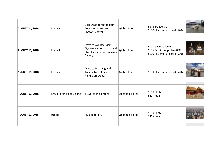| <b>AUGUST 14, 2018</b> | Lhasa 3                    | Visit Lhasa carpet factory,<br>Sera Monastery, and<br>Shoton Festival.                         | Kyichu Hotel    | $$8$ - Sera fee (50¥)<br>\$100 - Kyichu full board (620¥)                                      |  |
|------------------------|----------------------------|------------------------------------------------------------------------------------------------|-----------------|------------------------------------------------------------------------------------------------|--|
| <b>AUGUST 15, 2018</b> | Lhasa 4                    | Drive to Gyantse, visit<br>Gyantse carpet factory and<br>Shigatse Ganggyen weaving<br>factory. | Kyichu Hotel    | $$10$ - Gyantse fee (60¥)<br>\$13 - Tashi Lhunpo fee (80¥)<br>\$100 - Kyichu full board (620¥) |  |
| <b>AUGUST 11, 2018</b> | Lhasa 5                    | Drive to Tserhang and<br>Tanang to visit local<br>handicraft areas.                            | Kyichu Hotel    | \$100 - Kyichu full board (620¥)                                                               |  |
| <b>AUGUST 12, 2018</b> | Lhasa to Xining to Beijing | Travel to the airport.                                                                         | Legendale Hotel | $$160 - hotel$<br>$$40$ - meals                                                                |  |
| <b>AUGUST 13, 2018</b> | Beijing                    | Fly out of PEK.                                                                                | Legendale Hotel | $$160$ - hotel<br>$$40$ - meals                                                                |  |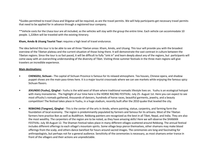\*Guides permitted to travel Lhasa and Shigatse will be required, as are the travel permits. We will help participants get necessary travel permits that need to be applied for in advance through a registered tour company.

\*\*Vehicle costs for the Lhasa tour are all included, as the vehicles will stay with the group the entire time. Each vehicle can accommodate 10 people. 1,220km will be traveled with the existing itinerary.

**Kham, Amdo & Utsang Tourist Tour:** requires a high level of travel endurance.

The idea behind this tour is to be able to see all three Tibetan areas: Kham, Amdo, and Utsang. This tour will provide you with the broadest overview of the Tibetan plateau and the current situation of those living there. It will demonstrate the vast contrast in culture between the Tibetan regions. Since the tour is so fast paced, it will be difficult to fully "sink in" and learn deeply about any of the regions, but participants will come away with an overarching understanding of the diversity of Tibet. Visiting three summer festivals in the three main regions will give travelers an incredible experience.

### **Main destinations:**

- **CHENGDU, Sichuan -** The capital of Sichuan Province is famous for its relaxed atmosphere. Tea houses, Chinese opera, and shadow puppet shows are the main pass-times here. It is a major tourist crossroads where we can see markets while enjoying the famous spicy Sichuan flavors.
- **JEKUNDO (Yushu), Qinghai -** Yushu is the wild west of Kham where traditional nomadic lifestyle lives on. Yushu is an ecological hotspot with many monasteries. The highlight of our time here is the HORSE RACING FESTIVAL: July 25- August 1st. Here you can expect to see most ofYushu's nomads gathered, thousands of dancers, hundreds of horse races, beautiful garments, jewelry, and a beauty competition! The festival takes place in Yushu, in a huge stadium, recently built after the 2010 quake that leveled the city.
- **REBKONG (Tongren), Qinghai** This is the center of the arts in Amdo, where painting, statue, carpentry, and farming form the foundation of local economy. The region is predominantly populated by farmers and famous for its artisans. Most of the Tibetan farmers here practice Bon as well as Buddhism. Rebkong painters are recognized as the best in all Tibet, Nepal, and India. They are also the most wealthy. The carpenters of the region are to be noted, as they have amazing skills! Here we will observe the SHAMAN FESTIVAL: July 30-August 12. The Shaman Festival takes place in many different villages scattered around Rebkong. The annual festival includes different offerings to each village's mountain spirits. Some village boys pierce themselves, other shamans may make blood offerings from the scalp, and others dance barefoot for hours around sacred images. The ceremonies are long and fascinating for anthropologists, but perhaps not for a general audience. Sensitivity of the ceremonies is necessary, as most shamans enter trance in front of the villagers and their actions are unpredictable.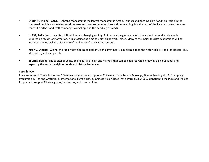- **LABRANG (Xiahe), Gansu -** Labrang Monastery is the largest monastery in Amdo. Tourists and pilgrims alike flood this region in the summertime. It is a somewhat sensitive area and does sometimes close without warning. It is the seat of the Panchen Lama. Here we can visit NorLha handicraft company's workshop, and the nearby grasslands.
- **LHASA, TAR -** famous capital of Tibet, Lhasa is changing rapidly. As it enters the global market, the ancient cultural landscape is undergoing rapid transformation. It is a fascinating time to visit this powerful place. Many of the major tourists destinations will be included, but we will also visit some of the handcraft and carpet centers.
- **XINING, Qinghai -** Xining, the rapidly developing capital of Qinghai Province, is a melting pot on the historical Silk Road for Tibetan, Hui, Mongolian, and Han people.
- **BEIJING, Beijing-** The capital of China, Beijing is full of high end markets that can be explored while enjoying delicious foods and exploring the ancient neighborhoods and historic landmarks.

### **Cost: \$3,900**

**Price excludes:** 1. Travel Insurance 2. Services not mentioned: optional Chinese Acupuncture or Massage, Tibetan healing etc. 3. Emergency evacuation 4. Tips and Gratuities 5. International flight tickets 6. Chinese Visa 7.Tibet Travel Permit). 8. A \$600 donation to the Pureland Project Programs to support Tibetan guides, businesses, and communities.